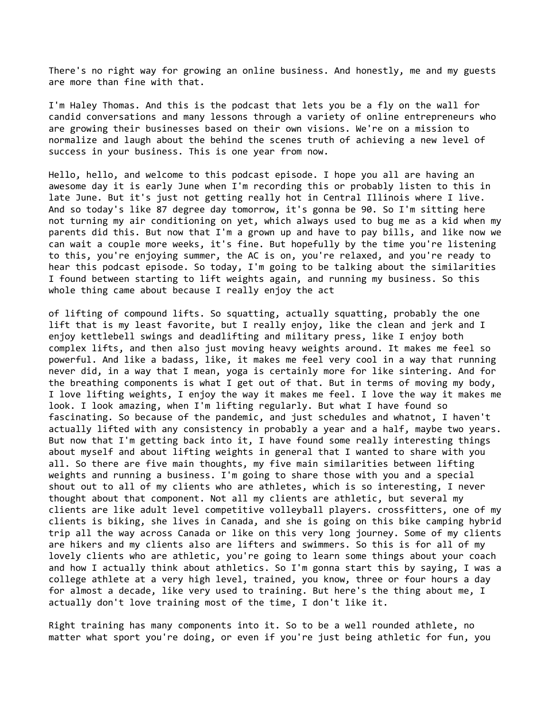There's no right way for growing an online business. And honestly, me and my guests are more than fine with that.

I'm Haley Thomas. And this is the podcast that lets you be a fly on the wall for candid conversations and many lessons through a variety of online entrepreneurs who are growing their businesses based on their own visions. We're on a mission to normalize and laugh about the behind the scenes truth of achieving a new level of success in your business. This is one year from now.

Hello, hello, and welcome to this podcast episode. I hope you all are having an awesome day it is early June when I'm recording this or probably listen to this in late June. But it's just not getting really hot in Central Illinois where I live. And so today's like 87 degree day tomorrow, it's gonna be 90. So I'm sitting here not turning my air conditioning on yet, which always used to bug me as a kid when my parents did this. But now that I'm a grown up and have to pay bills, and like now we can wait a couple more weeks, it's fine. But hopefully by the time you're listening to this, you're enjoying summer, the AC is on, you're relaxed, and you're ready to hear this podcast episode. So today, I'm going to be talking about the similarities I found between starting to lift weights again, and running my business. So this whole thing came about because I really enjoy the act

of lifting of compound lifts. So squatting, actually squatting, probably the one lift that is my least favorite, but I really enjoy, like the clean and jerk and I enjoy kettlebell swings and deadlifting and military press, like I enjoy both complex lifts, and then also just moving heavy weights around. It makes me feel so powerful. And like a badass, like, it makes me feel very cool in a way that running never did, in a way that I mean, yoga is certainly more for like sintering. And for the breathing components is what I get out of that. But in terms of moving my body, I love lifting weights, I enjoy the way it makes me feel. I love the way it makes me look. I look amazing, when I'm lifting regularly. But what I have found so fascinating. So because of the pandemic, and just schedules and whatnot, I haven't actually lifted with any consistency in probably a year and a half, maybe two years. But now that I'm getting back into it, I have found some really interesting things about myself and about lifting weights in general that I wanted to share with you all. So there are five main thoughts, my five main similarities between lifting weights and running a business. I'm going to share those with you and a special shout out to all of my clients who are athletes, which is so interesting, I never thought about that component. Not all my clients are athletic, but several my clients are like adult level competitive volleyball players. crossfitters, one of my clients is biking, she lives in Canada, and she is going on this bike camping hybrid trip all the way across Canada or like on this very long journey. Some of my clients are hikers and my clients also are lifters and swimmers. So this is for all of my lovely clients who are athletic, you're going to learn some things about your coach and how I actually think about athletics. So I'm gonna start this by saying, I was a college athlete at a very high level, trained, you know, three or four hours a day for almost a decade, like very used to training. But here's the thing about me, I actually don't love training most of the time, I don't like it.

Right training has many components into it. So to be a well rounded athlete, no matter what sport you're doing, or even if you're just being athletic for fun, you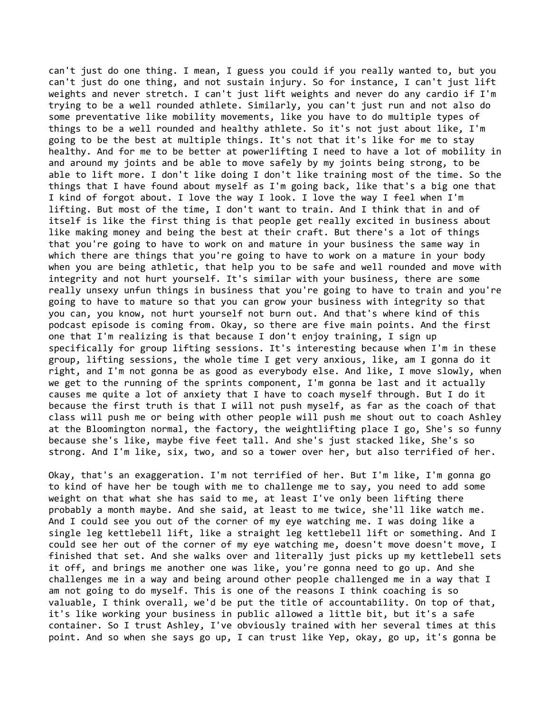can't just do one thing. I mean, I guess you could if you really wanted to, but you can't just do one thing, and not sustain injury. So for instance, I can't just lift weights and never stretch. I can't just lift weights and never do any cardio if I'm trying to be a well rounded athlete. Similarly, you can't just run and not also do some preventative like mobility movements, like you have to do multiple types of things to be a well rounded and healthy athlete. So it's not just about like, I'm going to be the best at multiple things. It's not that it's like for me to stay healthy. And for me to be better at powerlifting I need to have a lot of mobility in and around my joints and be able to move safely by my joints being strong, to be able to lift more. I don't like doing I don't like training most of the time. So the things that I have found about myself as I'm going back, like that's a big one that I kind of forgot about. I love the way I look. I love the way I feel when I'm lifting. But most of the time, I don't want to train. And I think that in and of itself is like the first thing is that people get really excited in business about like making money and being the best at their craft. But there's a lot of things that you're going to have to work on and mature in your business the same way in which there are things that you're going to have to work on a mature in your body when you are being athletic, that help you to be safe and well rounded and move with integrity and not hurt yourself. It's similar with your business, there are some really unsexy unfun things in business that you're going to have to train and you're going to have to mature so that you can grow your business with integrity so that you can, you know, not hurt yourself not burn out. And that's where kind of this podcast episode is coming from. Okay, so there are five main points. And the first one that I'm realizing is that because I don't enjoy training, I sign up specifically for group lifting sessions. It's interesting because when I'm in these group, lifting sessions, the whole time I get very anxious, like, am I gonna do it right, and I'm not gonna be as good as everybody else. And like, I move slowly, when we get to the running of the sprints component, I'm gonna be last and it actually causes me quite a lot of anxiety that I have to coach myself through. But I do it because the first truth is that I will not push myself, as far as the coach of that class will push me or being with other people will push me shout out to coach Ashley at the Bloomington normal, the factory, the weightlifting place I go, She's so funny because she's like, maybe five feet tall. And she's just stacked like, She's so strong. And I'm like, six, two, and so a tower over her, but also terrified of her.

Okay, that's an exaggeration. I'm not terrified of her. But I'm like, I'm gonna go to kind of have her be tough with me to challenge me to say, you need to add some weight on that what she has said to me, at least I've only been lifting there probably a month maybe. And she said, at least to me twice, she'll like watch me. And I could see you out of the corner of my eye watching me. I was doing like a single leg kettlebell lift, like a straight leg kettlebell lift or something. And I could see her out of the corner of my eye watching me, doesn't move doesn't move, I finished that set. And she walks over and literally just picks up my kettlebell sets it off, and brings me another one was like, you're gonna need to go up. And she challenges me in a way and being around other people challenged me in a way that I am not going to do myself. This is one of the reasons I think coaching is so valuable, I think overall, we'd be put the title of accountability. On top of that, it's like working your business in public allowed a little bit, but it's a safe container. So I trust Ashley, I've obviously trained with her several times at this point. And so when she says go up, I can trust like Yep, okay, go up, it's gonna be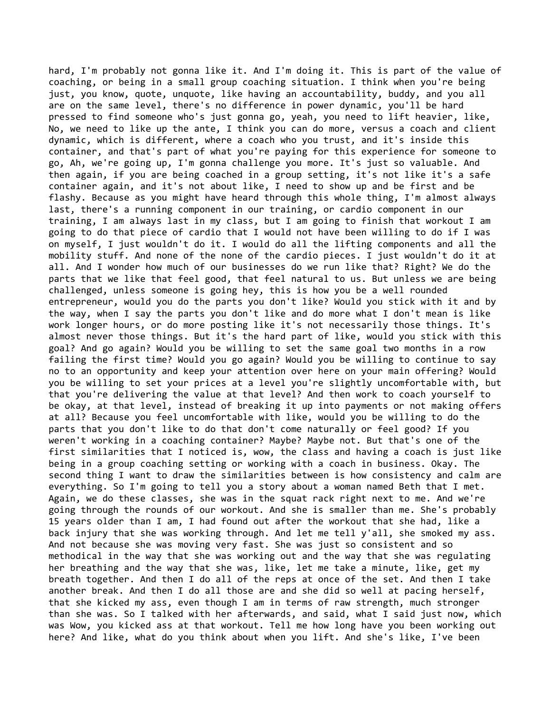hard, I'm probably not gonna like it. And I'm doing it. This is part of the value of coaching, or being in a small group coaching situation. I think when you're being just, you know, quote, unquote, like having an accountability, buddy, and you all are on the same level, there's no difference in power dynamic, you'll be hard pressed to find someone who's just gonna go, yeah, you need to lift heavier, like, No, we need to like up the ante, I think you can do more, versus a coach and client dynamic, which is different, where a coach who you trust, and it's inside this container, and that's part of what you're paying for this experience for someone to go, Ah, we're going up, I'm gonna challenge you more. It's just so valuable. And then again, if you are being coached in a group setting, it's not like it's a safe container again, and it's not about like, I need to show up and be first and be flashy. Because as you might have heard through this whole thing, I'm almost always last, there's a running component in our training, or cardio component in our training, I am always last in my class, but I am going to finish that workout I am going to do that piece of cardio that I would not have been willing to do if I was on myself, I just wouldn't do it. I would do all the lifting components and all the mobility stuff. And none of the none of the cardio pieces. I just wouldn't do it at all. And I wonder how much of our businesses do we run like that? Right? We do the parts that we like that feel good, that feel natural to us. But unless we are being challenged, unless someone is going hey, this is how you be a well rounded entrepreneur, would you do the parts you don't like? Would you stick with it and by the way, when I say the parts you don't like and do more what I don't mean is like work longer hours, or do more posting like it's not necessarily those things. It's almost never those things. But it's the hard part of like, would you stick with this goal? And go again? Would you be willing to set the same goal two months in a row failing the first time? Would you go again? Would you be willing to continue to say no to an opportunity and keep your attention over here on your main offering? Would you be willing to set your prices at a level you're slightly uncomfortable with, but that you're delivering the value at that level? And then work to coach yourself to be okay, at that level, instead of breaking it up into payments or not making offers at all? Because you feel uncomfortable with like, would you be willing to do the parts that you don't like to do that don't come naturally or feel good? If you weren't working in a coaching container? Maybe? Maybe not. But that's one of the first similarities that I noticed is, wow, the class and having a coach is just like being in a group coaching setting or working with a coach in business. Okay. The second thing I want to draw the similarities between is how consistency and calm are everything. So I'm going to tell you a story about a woman named Beth that I met. Again, we do these classes, she was in the squat rack right next to me. And we're going through the rounds of our workout. And she is smaller than me. She's probably 15 years older than I am, I had found out after the workout that she had, like a back injury that she was working through. And let me tell y'all, she smoked my ass. And not because she was moving very fast. She was just so consistent and so methodical in the way that she was working out and the way that she was regulating her breathing and the way that she was, like, let me take a minute, like, get my breath together. And then I do all of the reps at once of the set. And then I take another break. And then I do all those are and she did so well at pacing herself, that she kicked my ass, even though I am in terms of raw strength, much stronger than she was. So I talked with her afterwards, and said, what I said just now, which was Wow, you kicked ass at that workout. Tell me how long have you been working out here? And like, what do you think about when you lift. And she's like, I've been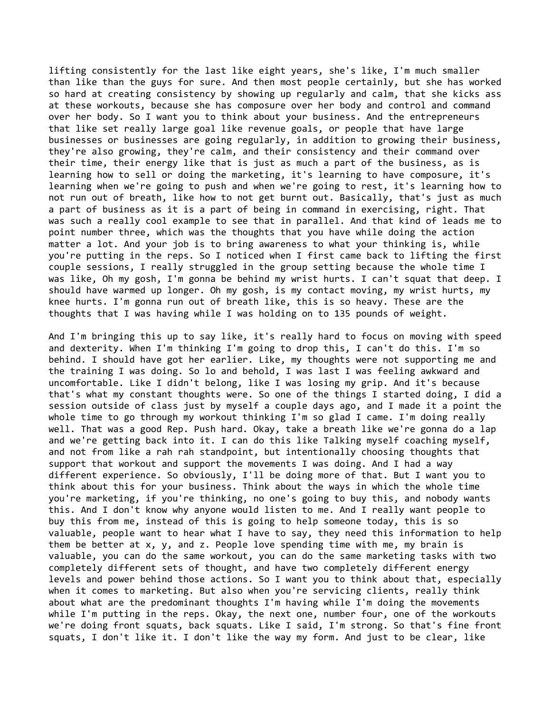lifting consistently for the last like eight years, she's like, I'm much smaller than like than the guys for sure. And then most people certainly, but she has worked so hard at creating consistency by showing up regularly and calm, that she kicks ass at these workouts, because she has composure over her body and control and command over her body. So I want you to think about your business. And the entrepreneurs that like set really large goal like revenue goals, or people that have large businesses or businesses are going regularly, in addition to growing their business, they're also growing, they're calm, and their consistency and their command over their time, their energy like that is just as much a part of the business, as is learning how to sell or doing the marketing, it's learning to have composure, it's learning when we're going to push and when we're going to rest, it's learning how to not run out of breath, like how to not get burnt out. Basically, that's just as much a part of business as it is a part of being in command in exercising, right. That was such a really cool example to see that in parallel. And that kind of leads me to point number three, which was the thoughts that you have while doing the action matter a lot. And your job is to bring awareness to what your thinking is, while you're putting in the reps. So I noticed when I first came back to lifting the first couple sessions, I really struggled in the group setting because the whole time I was like, Oh my gosh, I'm gonna be behind my wrist hurts. I can't squat that deep. I should have warmed up longer. Oh my gosh, is my contact moving, my wrist hurts, my knee hurts. I'm gonna run out of breath like, this is so heavy. These are the thoughts that I was having while I was holding on to 135 pounds of weight.

And I'm bringing this up to say like, it's really hard to focus on moving with speed and dexterity. When I'm thinking I'm going to drop this, I can't do this. I'm so behind. I should have got her earlier. Like, my thoughts were not supporting me and the training I was doing. So lo and behold, I was last I was feeling awkward and uncomfortable. Like I didn't belong, like I was losing my grip. And it's because that's what my constant thoughts were. So one of the things I started doing, I did a session outside of class just by myself a couple days ago, and I made it a point the whole time to go through my workout thinking I'm so glad I came. I'm doing really well. That was a good Rep. Push hard. Okay, take a breath like we're gonna do a lap and we're getting back into it. I can do this like Talking myself coaching myself, and not from like a rah rah standpoint, but intentionally choosing thoughts that support that workout and support the movements I was doing. And I had a way different experience. So obviously, I'll be doing more of that. But I want you to think about this for your business. Think about the ways in which the whole time you're marketing, if you're thinking, no one's going to buy this, and nobody wants this. And I don't know why anyone would listen to me. And I really want people to buy this from me, instead of this is going to help someone today, this is so valuable, people want to hear what I have to say, they need this information to help them be better at  $x$ ,  $y$ , and  $z$ . People love spending time with me, my brain is valuable, you can do the same workout, you can do the same marketing tasks with two completely different sets of thought, and have two completely different energy levels and power behind those actions. So I want you to think about that, especially when it comes to marketing. But also when you're servicing clients, really think about what are the predominant thoughts I'm having while I'm doing the movements while I'm putting in the reps. Okay, the next one, number four, one of the workouts we're doing front squats, back squats. Like I said, I'm strong. So that's fine front squats, I don't like it. I don't like the way my form. And just to be clear, like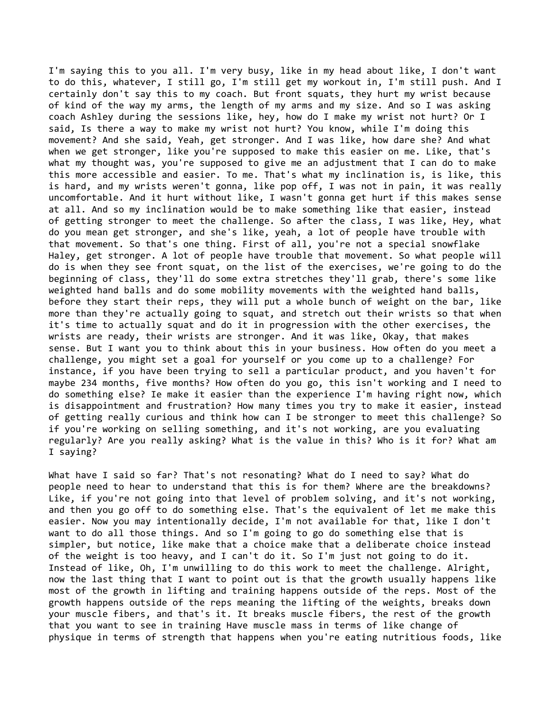I'm saying this to you all. I'm very busy, like in my head about like, I don't want to do this, whatever, I still go, I'm still get my workout in, I'm still push. And I certainly don't say this to my coach. But front squats, they hurt my wrist because of kind of the way my arms, the length of my arms and my size. And so I was asking coach Ashley during the sessions like, hey, how do I make my wrist not hurt? Or I said, Is there a way to make my wrist not hurt? You know, while I'm doing this movement? And she said, Yeah, get stronger. And I was like, how dare she? And what when we get stronger, like you're supposed to make this easier on me. Like, that's what my thought was, you're supposed to give me an adjustment that I can do to make this more accessible and easier. To me. That's what my inclination is, is like, this is hard, and my wrists weren't gonna, like pop off, I was not in pain, it was really uncomfortable. And it hurt without like, I wasn't gonna get hurt if this makes sense at all. And so my inclination would be to make something like that easier, instead of getting stronger to meet the challenge. So after the class, I was like, Hey, what do you mean get stronger, and she's like, yeah, a lot of people have trouble with that movement. So that's one thing. First of all, you're not a special snowflake Haley, get stronger. A lot of people have trouble that movement. So what people will do is when they see front squat, on the list of the exercises, we're going to do the beginning of class, they'll do some extra stretches they'll grab, there's some like weighted hand balls and do some mobility movements with the weighted hand balls, before they start their reps, they will put a whole bunch of weight on the bar, like more than they're actually going to squat, and stretch out their wrists so that when it's time to actually squat and do it in progression with the other exercises, the wrists are ready, their wrists are stronger. And it was like, Okay, that makes sense. But I want you to think about this in your business. How often do you meet a challenge, you might set a goal for yourself or you come up to a challenge? For instance, if you have been trying to sell a particular product, and you haven't for maybe 234 months, five months? How often do you go, this isn't working and I need to do something else? Ie make it easier than the experience I'm having right now, which is disappointment and frustration? How many times you try to make it easier, instead of getting really curious and think how can I be stronger to meet this challenge? So if you're working on selling something, and it's not working, are you evaluating regularly? Are you really asking? What is the value in this? Who is it for? What am I saying?

What have I said so far? That's not resonating? What do I need to say? What do people need to hear to understand that this is for them? Where are the breakdowns? Like, if you're not going into that level of problem solving, and it's not working, and then you go off to do something else. That's the equivalent of let me make this easier. Now you may intentionally decide, I'm not available for that, like I don't want to do all those things. And so I'm going to go do something else that is simpler, but notice, like make that a choice make that a deliberate choice instead of the weight is too heavy, and I can't do it. So I'm just not going to do it. Instead of like, Oh, I'm unwilling to do this work to meet the challenge. Alright, now the last thing that I want to point out is that the growth usually happens like most of the growth in lifting and training happens outside of the reps. Most of the growth happens outside of the reps meaning the lifting of the weights, breaks down your muscle fibers, and that's it. It breaks muscle fibers, the rest of the growth that you want to see in training Have muscle mass in terms of like change of physique in terms of strength that happens when you're eating nutritious foods, like